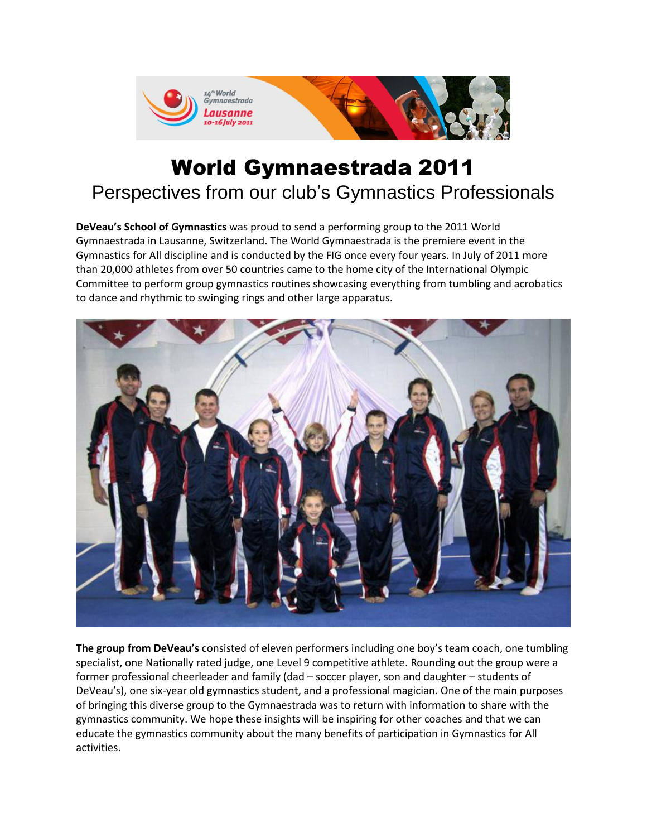

# World Gymnaestrada 2011 Perspectives from our club's Gymnastics Professionals

**DeVeau's School of Gymnastics** was proud to send a performing group to the 2011 World Gymnaestrada in Lausanne, Switzerland. The World Gymnaestrada is the premiere event in the Gymnastics for All discipline and is conducted by the FIG once every four years. In July of 2011 more than 20,000 athletes from over 50 countries came to the home city of the International Olympic Committee to perform group gymnastics routines showcasing everything from tumbling and acrobatics to dance and rhythmic to swinging rings and other large apparatus.



**The group from DeVeau's** consisted of eleven performers including one boy's team coach, one tumbling specialist, one Nationally rated judge, one Level 9 competitive athlete. Rounding out the group were a former professional cheerleader and family (dad – soccer player, son and daughter – students of DeVeau's), one six-year old gymnastics student, and a professional magician. One of the main purposes of bringing this diverse group to the Gymnaestrada was to return with information to share with the gymnastics community. We hope these insights will be inspiring for other coaches and that we can educate the gymnastics community about the many benefits of participation in Gymnastics for All activities.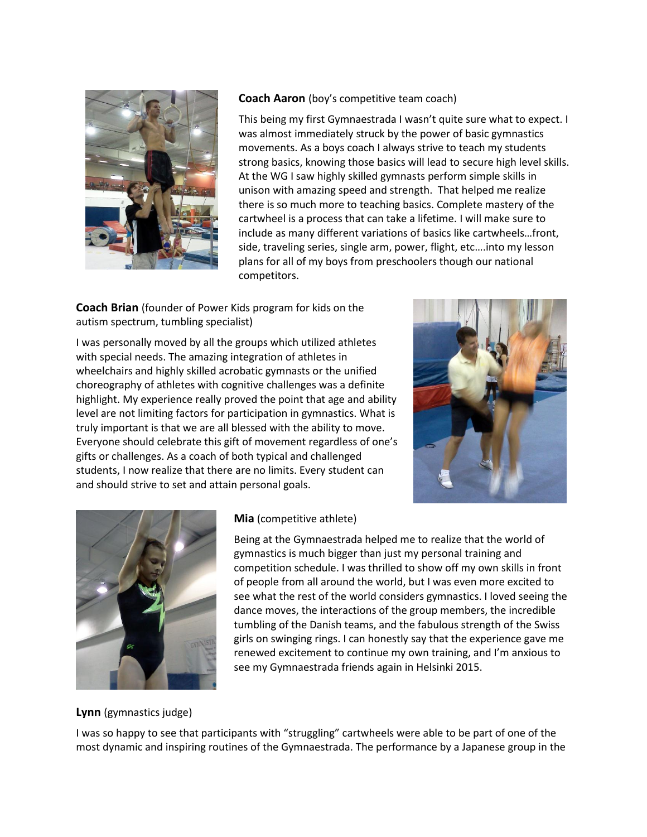

## **Coach Aaron** (boy's competitive team coach)

This being my first Gymnaestrada I wasn't quite sure what to expect. I was almost immediately struck by the power of basic gymnastics movements. As a boys coach I always strive to teach my students strong basics, knowing those basics will lead to secure high level skills. At the WG I saw highly skilled gymnasts perform simple skills in unison with amazing speed and strength. That helped me realize there is so much more to teaching basics. Complete mastery of the cartwheel is a process that can take a lifetime. I will make sure to include as many different variations of basics like cartwheels…front, side, traveling series, single arm, power, flight, etc….into my lesson plans for all of my boys from preschoolers though our national competitors.

**Coach Brian** (founder of Power Kids program for kids on the autism spectrum, tumbling specialist)

I was personally moved by all the groups which utilized athletes with special needs. The amazing integration of athletes in wheelchairs and highly skilled acrobatic gymnasts or the unified choreography of athletes with cognitive challenges was a definite highlight. My experience really proved the point that age and ability level are not limiting factors for participation in gymnastics. What is truly important is that we are all blessed with the ability to move. Everyone should celebrate this gift of movement regardless of one's gifts or challenges. As a coach of both typical and challenged students, I now realize that there are no limits. Every student can and should strive to set and attain personal goals.





#### **Mia** (competitive athlete)

Being at the Gymnaestrada helped me to realize that the world of gymnastics is much bigger than just my personal training and competition schedule. I was thrilled to show off my own skills in front of people from all around the world, but I was even more excited to see what the rest of the world considers gymnastics. I loved seeing the dance moves, the interactions of the group members, the incredible tumbling of the Danish teams, and the fabulous strength of the Swiss girls on swinging rings. I can honestly say that the experience gave me renewed excitement to continue my own training, and I'm anxious to see my Gymnaestrada friends again in Helsinki 2015.

#### **Lynn** (gymnastics judge)

I was so happy to see that participants with "struggling" cartwheels were able to be part of one of the most dynamic and inspiring routines of the Gymnaestrada. The performance by a Japanese group in the